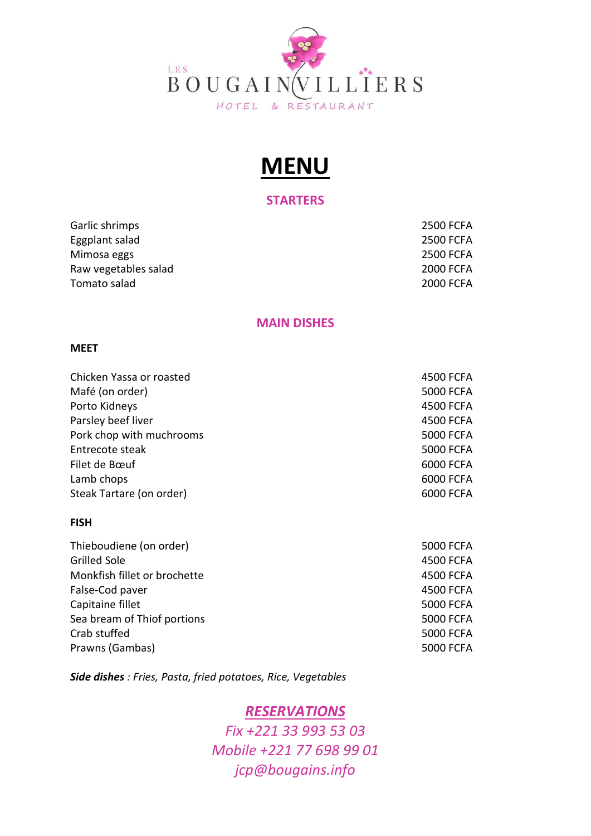

# MENU

### **STARTERS**

Garlic shrimps 2500 FCFA Eggplant salad 2500 FCFA Mimosa eggs 2500 FCFA Raw vegetables salad 2000 FCFA Tomato salad 2000 FCFA

## MAIN DISHES

#### MEET

| Chicken Yassa or roasted | 4500 FCFA        |
|--------------------------|------------------|
| Mafé (on order)          | <b>5000 FCFA</b> |
| Porto Kidneys            | 4500 FCFA        |
| Parsley beef liver       | 4500 FCFA        |
| Pork chop with muchrooms | <b>5000 FCFA</b> |
| Entrecote steak          | <b>5000 FCFA</b> |
| Filet de Bœuf            | 6000 FCFA        |
| Lamb chops               | 6000 FCFA        |
| Steak Tartare (on order) | 6000 FCFA        |
|                          |                  |

### FISH

| Thieboudiene (on order)      | 5000 FCFA        |
|------------------------------|------------------|
| <b>Grilled Sole</b>          | 4500 FCFA        |
| Monkfish fillet or brochette | 4500 FCFA        |
| False-Cod paver              | 4500 FCFA        |
| Capitaine fillet             | <b>5000 FCFA</b> |
| Sea bream of Thiof portions  | <b>5000 FCFA</b> |
| Crab stuffed                 | <b>5000 FCFA</b> |
| Prawns (Gambas)              | 5000 FCFA        |
|                              |                  |

Side dishes : Fries, Pasta, fried potatoes, Rice, Vegetables

## RESERVATIONS

Fix +221 33 993 53 03 Mobile +221 77 698 99 01 jcp@bougains.info